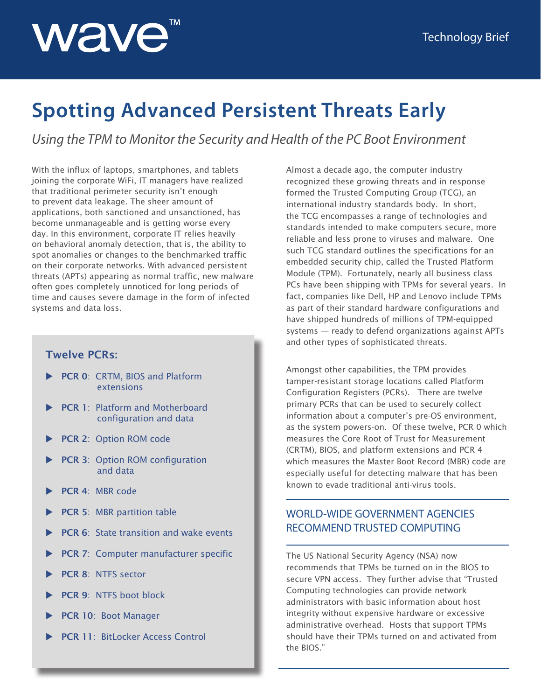# wave

## **Spotting Advanced Persistent Threats Early**

*Using the TPM to Monitor the Security and Health of the PC Boot Environment*

With the influx of laptops, smartphones, and tablets joining the corporate WiFi, IT managers have realized that traditional perimeter security isn't enough to prevent data leakage. The sheer amount of applications, both sanctioned and unsanctioned, has become unmanageable and is getting worse every day. In this environment, corporate IT relies heavily on behavioral anomaly detection, that is, the ability to spot anomalies or changes to the benchmarked traffic on their corporate networks. With advanced persistent threats (APTs) appearing as normal traffic, new malware often goes completely unnoticed for long periods of time and causes severe damage in the form of infected systems and data loss.

#### **Twelve PCRs:**

- **PCR 0: CRTM, BIOS and Platform** extensions
- **PCR 1: Platform and Motherboard** configuration and data
- **PCR 2: Option ROM code**
- **PCR 3: Option ROM configuration** and data
- PCR 4: MBR code
- **PCR 5: MBR partition table**
- **PCR 6:** State transition and wake events
- PCR 7: Computer manufacturer specific
- PCR 8: NTFS sector
- **PCR 9: NTFS boot block**
- PCR 10: Boot Manager
- PCR 11: BitLocker Access Control

Almost a decade ago, the computer industry recognized these growing threats and in response formed the Trusted Computing Group (TCG), an international industry standards body. In short, the TCG encompasses a range of technologies and standards intended to make computers secure, more reliable and less prone to viruses and malware. One such TCG standard outlines the specifications for an embedded security chip, called the Trusted Platform Module (TPM). Fortunately, nearly all business class PCs have been shipping with TPMs for several years. In fact, companies like Dell, HP and Lenovo include TPMs as part of their standard hardware configurations and have shipped hundreds of millions of TPM-equipped systems — ready to defend organizations against APTs and other types of sophisticated threats.

Amongst other capabilities, the TPM provides tamper-resistant storage locations called Platform Configuration Registers (PCRs). There are twelve primary PCRs that can be used to securely collect information about a computer's pre-OS environment, as the system powers-on. Of these twelve, PCR 0 which measures the Core Root of Trust for Measurement (CRTM), BIOS, and platform extensions and PCR 4 which measures the Master Boot Record (MBR) code are especially useful for detecting malware that has been known to evade traditional anti-virus tools.

#### WORLD-WIDE GOVERNMENT AGENCIES RECOMMEND TRUSTED COMPUTING

The US National Security Agency (NSA) now recommends that TPMs be turned on in the BIOS to secure VPN access. They further advise that "Trusted Computing technologies can provide network administrators with basic information about host integrity without expensive hardware or excessive administrative overhead. Hosts that support TPMs should have their TPMs turned on and activated from the BIOS."